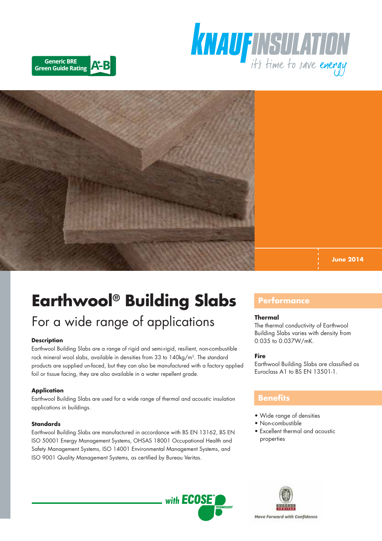





**June 2014**

# **Earthwool® Building Slabs**

## For a wide range of applications

#### **Description**

Earthwool Building Slabs are a range of rigid and semi-rigid, resilient, non-combustible rock mineral wool slabs, available in densities from 33 to 140kg/m<sup>3</sup>. The standard products are supplied un-faced, but they can also be manufactured with a factory applied foil or tissue facing, they are also available in a water repellent grade.

#### **Application**

Earthwool Building Slabs are used for a wide range of thermal and acoustic insulation applications in buildings.

#### **Standards**

Earthwool Building Slabs are manufactured in accordance with BS EN 13162, BS EN ISO 50001 Energy Management Systems, OHSAS 18001 Occupational Health and Safety Management Systems, ISO 14001 Environmental Management Systems, and ISO 9001 Quality Management Systems, as certified by Bureau Veritas.

## **Performance**

#### **Thermal**

The thermal conductivity of Earthwool Building Slabs varies with density from 0.035 to 0.037W/mK.

#### **Fire**

Earthwool Building Slabs are classified as Euroclass A1 to BS EN 13501-1.

### **Benefits**

- Wide range of densities
- Non-combustible
- Excellent thermal and acoustic properties



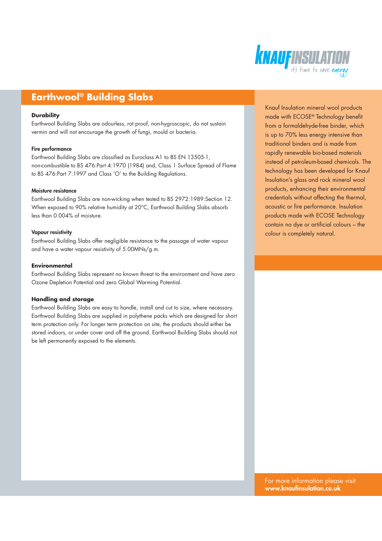

## **Earthwool® Building Slabs**

#### **Durability**

Earthwool Building Slabs are odourless, rot proof, non-hygroscopic, do not sustain vermin and will not encourage the growth of fungi, mould or bacteria.

#### Fire performance

Earthwool Building Slabs are classified as Euroclass A1 to BS EN 13505-1, non-combustible to BS 476:Part 4:1970 (1984) and, Class 1 Surface Spread of Flame to BS 476:Part 7:1997 and Class 'O' to the Building Regulations.

#### Moisture resistance

Earthwool Building Slabs are non-wicking when tested to BS 2972:1989:Section 12. When exposed to 90% relative humidity at 20°C, Earthwool Building Slabs absorb less than 0.004% of moisture.

#### Vapour resistivity

Earthwool Building Slabs offer negligible resistance to the passage of water vapour and have a water vapour resistivity of 5.00MNs/g.m.

#### **Environmental**

Earthwool Building Slabs represent no known threat to the environment and have zero Ozone Depletion Potential and zero Global Warming Potential.

#### **Handling and storage**

Earthwool Building Slabs are easy to handle, install and cut to size, where necessary. Earthwool Building Slabs are supplied in polythene packs which are designed for short term protection only. For longer term protection on site, the products should either be stored indoors, or under cover and off the ground. Earthwool Building Slabs should not be left permanently exposed to the elements.

Knauf Insulation mineral wool products made with ECOSE® Technology benefit from a formaldehyde-free binder, which is up to 70% less energy intensive than traditional binders and is made from rapidly renewable bio-based materials instead of petroleum-based chemicals. The technology has been developed for Knauf Insulation's glass and rock mineral wool products, enhancing their environmental credentials without affecting the thermal, acoustic or fire performance. Insulation products made with ECOSE Technology contain no dye or artificial colours – the colour is completely natural.

For more information please visit www.knaufinsulation.co.uk